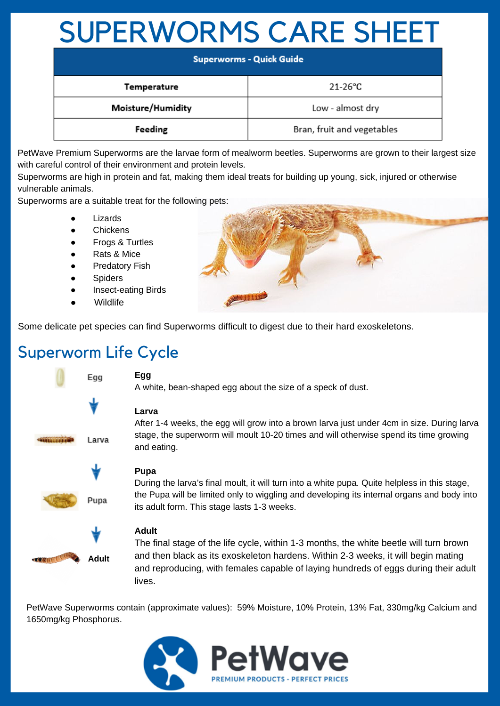# SUPERWORMS CARE SHEET

| <b>Superworms - Quick Guide</b> |                            |
|---------------------------------|----------------------------|
| Temperature                     | $21-26$ °C                 |
| Moisture/Humidity               | Low - almost dry           |
| Feeding                         | Bran, fruit and vegetables |

PetWave Premium Superworms are the larvae form of mealworm beetles. Superworms are grown to their largest size with careful control of their environment and protein levels.

Superworms are high in protein and fat, making them ideal treats for building up young, sick, injured or otherwise vulnerable animals.

Superworms are a suitable treat for the following pets:

- **Lizards**
- **Chickens**
- **Frogs & Turtles**
- **Rats & Mice**
- Predatory Fish
- **Spiders**
- Insect-eating Birds
- **Wildlife**



Some delicate pet species can find Superworms difficult to digest due to their hard exoskeletons.

## Superworm Life Cycle



### **Egg**

A white, bean-shaped egg about the size of a speck of dust.

### **Larva**

After 1-4 weeks, the egg will grow into a brown larva just under 4cm in size. During larva stage, the superworm will moult 10-20 times and will otherwise spend its time growing and eating.

### **Pupa**

During the larva's final moult, it will turn into a white pupa. Quite helpless in this stage, the Pupa will be limited only to wiggling and developing its internal organs and body into its adult form. This stage lasts 1-3 weeks.

#### **Adult**

The final stage of the life cycle, within 1-3 months, the white beetle will turn brown and then black as its exoskeleton hardens. Within 2-3 weeks, it will begin mating and reproducing, with females capable of laying hundreds of eggs during their adult lives.

PetWave Superworms contain (approximate values): 59% Moisture, 10% Protein, 13% Fat, 330mg/kg Calcium and 1650mg/kg Phosphorus.